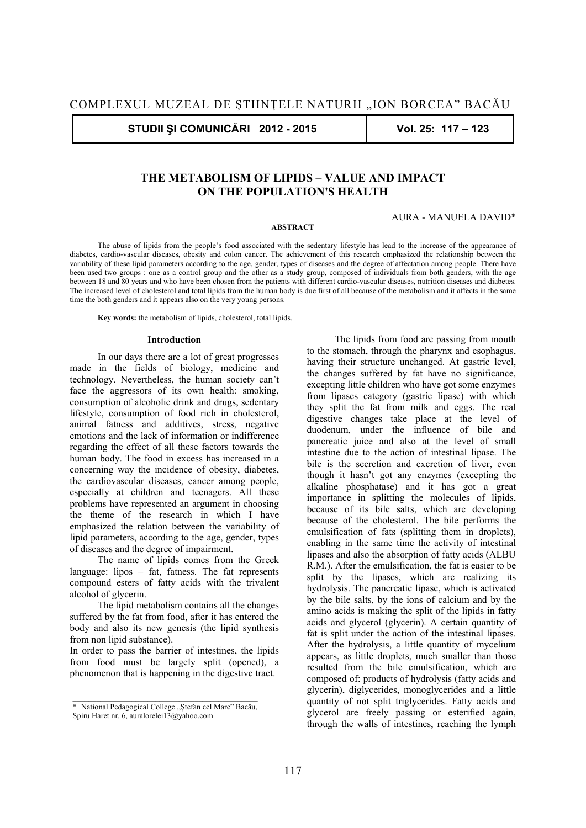**STUDII ŞI COMUNICĂRI 2012 - 2015 Vol. 25: 117 – 123** 

# **THE METABOLISM OF LIPIDS – VALUE AND IMPACT ON THE POPULATION'S HEALTH**

#### AURA - MANUELA DAVID\*

#### **ABSTRACT**

The abuse of lipids from the people's food associated with the sedentary lifestyle has lead to the increase of the appearance of diabetes, cardio-vascular diseases, obesity and colon cancer. The achievement of this research emphasized the relationship between the variability of these lipid parameters according to the age, gender, types of diseases and the degree of affectation among people. There have been used two groups : one as a control group and the other as a study group, composed of individuals from both genders, with the age between 18 and 80 years and who have been chosen from the patients with different cardio-vascular diseases, nutrition diseases and diabetes. The increased level of cholesterol and total lipids from the human body is due first of all because of the metabolism and it affects in the same time the both genders and it appears also on the very young persons.

 **Key words:** the metabolism of lipids, cholesterol, total lipids.

#### **Introduction**

In our days there are a lot of great progresses made in the fields of biology, medicine and technology. Nevertheless, the human society can't face the aggressors of its own health: smoking, consumption of alcoholic drink and drugs, sedentary lifestyle, consumption of food rich in cholesterol, animal fatness and additives, stress, negative emotions and the lack of information or indifference regarding the effect of all these factors towards the human body. The food in excess has increased in a concerning way the incidence of obesity, diabetes, the cardiovascular diseases, cancer among people, especially at children and teenagers. All these problems have represented an argument in choosing the theme of the research in which I have emphasized the relation between the variability of lipid parameters, according to the age, gender, types of diseases and the degree of impairment.

The name of lipids comes from the Greek language: lipos – fat, fatness. The fat represents compound esters of fatty acids with the trivalent alcohol of glycerin.

The lipid metabolism contains all the changes suffered by the fat from food, after it has entered the body and also its new genesis (the lipid synthesis from non lipid substance).

In order to pass the barrier of intestines, the lipids from food must be largely split (opened), a phenomenon that is happening in the digestive tract.

The lipids from food are passing from mouth to the stomach, through the pharynx and esophagus, having their structure unchanged. At gastric level, the changes suffered by fat have no significance, excepting little children who have got some enzymes from lipases category (gastric lipase) with which they split the fat from milk and eggs. The real digestive changes take place at the level of duodenum, under the influence of bile and pancreatic juice and also at the level of small intestine due to the action of intestinal lipase. The bile is the secretion and excretion of liver, even though it hasn't got any enzymes (excepting the alkaline phosphatase) and it has got a great importance in splitting the molecules of lipids, because of its bile salts, which are developing because of the cholesterol. The bile performs the emulsification of fats (splitting them in droplets), enabling in the same time the activity of intestinal lipases and also the absorption of fatty acids (ALBU R.M.). After the emulsification, the fat is easier to be split by the lipases, which are realizing its hydrolysis. The pancreatic lipase, which is activated by the bile salts, by the ions of calcium and by the amino acids is making the split of the lipids in fatty acids and glycerol (glycerin). A certain quantity of fat is split under the action of the intestinal lipases. After the hydrolysis, a little quantity of mycelium appears, as little droplets, much smaller than those resulted from the bile emulsification, which are composed of: products of hydrolysis (fatty acids and glycerin), diglycerides, monoglycerides and a little quantity of not split triglycerides. Fatty acids and glycerol are freely passing or esterified again, through the walls of intestines, reaching the lymph

<sup>\*</sup> National Pedagogical College "Stefan cel Mare" Bacău, Spiru Haret nr. 6, auralorelei13@yahoo.com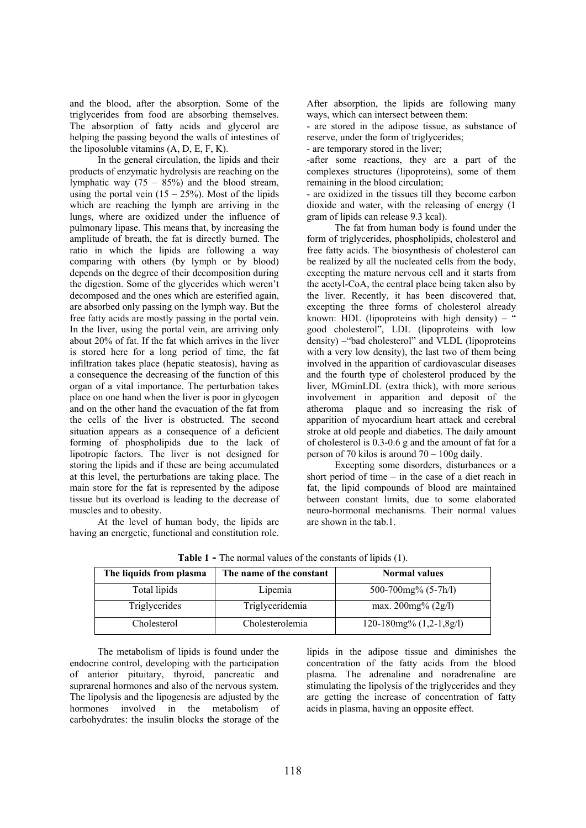and the blood, after the absorption. Some of the triglycerides from food are absorbing themselves. The absorption of fatty acids and glycerol are helping the passing beyond the walls of intestines of the liposoluble vitamins  $(A, D, E, F, K)$ .

In the general circulation, the lipids and their products of enzymatic hydrolysis are reaching on the lymphatic way  $(75 - 85%)$  and the blood stream, using the portal vein  $(15 - 25\%)$ . Most of the lipids which are reaching the lymph are arriving in the lungs, where are oxidized under the influence of pulmonary lipase. This means that, by increasing the amplitude of breath, the fat is directly burned. The ratio in which the lipids are following a way comparing with others (by lymph or by blood) depends on the degree of their decomposition during the digestion. Some of the glycerides which weren't decomposed and the ones which are esterified again, are absorbed only passing on the lymph way. But the free fatty acids are mostly passing in the portal vein. In the liver, using the portal vein, are arriving only about 20% of fat. If the fat which arrives in the liver is stored here for a long period of time, the fat infiltration takes place (hepatic steatosis), having as a consequence the decreasing of the function of this organ of a vital importance. The perturbation takes place on one hand when the liver is poor in glycogen and on the other hand the evacuation of the fat from the cells of the liver is obstructed. The second situation appears as a consequence of a deficient forming of phospholipids due to the lack of lipotropic factors. The liver is not designed for storing the lipids and if these are being accumulated at this level, the perturbations are taking place. The main store for the fat is represented by the adipose tissue but its overload is leading to the decrease of muscles and to obesity.

At the level of human body, the lipids are having an energetic, functional and constitution role. After absorption, the lipids are following many ways, which can intersect between them:

- are stored in the adipose tissue, as substance of reserve, under the form of triglycerides;

- are temporary stored in the liver;

-after some reactions, they are a part of the complexes structures (lipoproteins), some of them remaining in the blood circulation;

- are oxidized in the tissues till they become carbon dioxide and water, with the releasing of energy (1 gram of lipids can release 9.3 kcal).

The fat from human body is found under the form of triglycerides, phospholipids, cholesterol and free fatty acids. The biosynthesis of cholesterol can be realized by all the nucleated cells from the body, excepting the mature nervous cell and it starts from the acetyl-CoA, the central place being taken also by the liver. Recently, it has been discovered that, excepting the three forms of cholesterol already known: HDL (lipoproteins with high density) – " good cholesterol", LDL (lipoproteins with low density) –"bad cholesterol" and VLDL (lipoproteins with a very low density), the last two of them being involved in the apparition of cardiovascular diseases and the fourth type of cholesterol produced by the liver, MGminLDL (extra thick), with more serious involvement in apparition and deposit of the atheroma plaque and so increasing the risk of apparition of myocardium heart attack and cerebral stroke at old people and diabetics. The daily amount of cholesterol is 0.3-0.6 g and the amount of fat for a person of 70 kilos is around 70 – 100g daily.

Excepting some disorders, disturbances or a short period of time – in the case of a diet reach in fat, the lipid compounds of blood are maintained between constant limits, due to some elaborated neuro-hormonal mechanisms. Their normal values are shown in the tab.1.

| The liquids from plasma | The name of the constant | <b>Normal</b> values                      |
|-------------------------|--------------------------|-------------------------------------------|
| Total lipids            | Lipemia                  | 500-700 $mg\%$ (5-7h/l)                   |
| Triglycerides           | Triglyceridemia          | max. $200mg\% (2g/l)$                     |
| Cholesterol             | Cholesterolemia          | $120-180$ mg <sup>%</sup> $(1,2-1,8)$ g/l |

**Table 1 -** The normal values of the constants of lipids (1).

The metabolism of lipids is found under the endocrine control, developing with the participation of anterior pituitary, thyroid, pancreatic and suprarenal hormones and also of the nervous system. The lipolysis and the lipogenesis are adjusted by the hormones involved in the metabolism of carbohydrates: the insulin blocks the storage of the lipids in the adipose tissue and diminishes the concentration of the fatty acids from the blood plasma. The adrenaline and noradrenaline are stimulating the lipolysis of the triglycerides and they are getting the increase of concentration of fatty acids in plasma, having an opposite effect.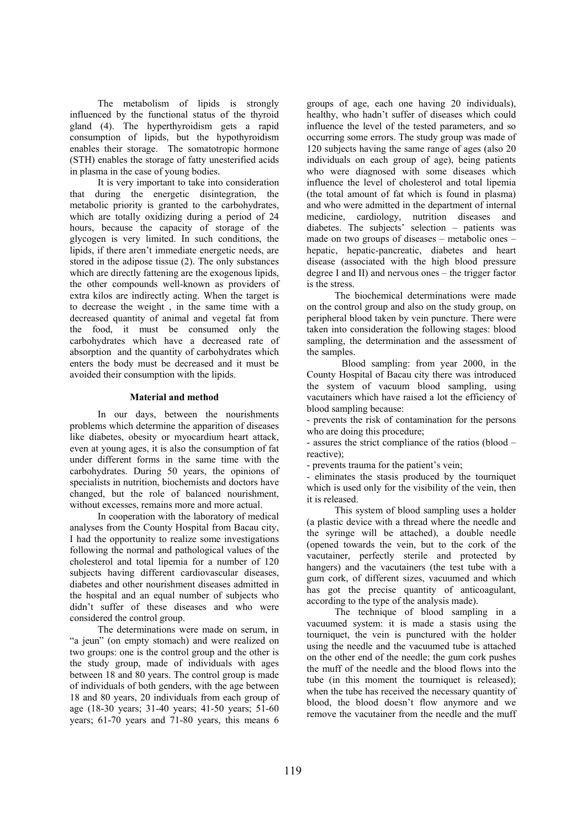The metabolism of lipids is strongly influenced by the functional status of the thyroid gland (4). The hyperthyroidism gets a rapid consumption of lipids, but the hypothyroidism enables their storage. The somatotropic hormone (STH) enables the storage of fatty unesterified acids in plasma in the case of young bodies.

It is very important to take into consideration that during the energetic disintegration, the metabolic priority is granted to the carbohydrates, which are totally oxidizing during a period of 24 hours, because the capacity of storage of the glycogen is very limited. In such conditions, the lipids, if there aren't immediate energetic needs, are stored in the adipose tissue (2). The only substances which are directly fattening are the exogenous lipids, the other compounds well-known as providers of extra kilos are indirectly acting. When the target is to decrease the weight , in the same time with a decreased quantity of animal and vegetal fat from the food, it must be consumed only the carbohydrates which have a decreased rate of absorption and the quantity of carbohydrates which enters the body must be decreased and it must be avoided their consumption with the lipids.

### **Material and method**

In our days, between the nourishments problems which determine the apparition of diseases like diabetes, obesity or myocardium heart attack, even at young ages, it is also the consumption of fat under different forms in the same time with the carbohydrates. During 50 years, the opinions of specialists in nutrition, biochemists and doctors have changed, but the role of balanced nourishment, without excesses, remains more and more actual.

In cooperation with the laboratory of medical analyses from the County Hospital from Bacau city, I had the opportunity to realize some investigations following the normal and pathological values of the cholesterol and total lipemia for a number of 120 subjects having different cardiovascular diseases, diabetes and other nourishment diseases admitted in the hospital and an equal number of subjects who didn't suffer of these diseases and who were considered the control group.

The determinations were made on serum, in "a jeun" (on empty stomach) and were realized on two groups: one is the control group and the other is the study group, made of individuals with ages between 18 and 80 years. The control group is made of individuals of both genders, with the age between 18 and 80 years, 20 individuals from each group of age (18-30 years; 31-40 years; 41-50 years; 51-60 years; 61-70 years and 71-80 years, this means 6 groups of age, each one having 20 individuals), healthy, who hadn't suffer of diseases which could influence the level of the tested parameters, and so occurring some errors. The study group was made of 120 subjects having the same range of ages (also 20 individuals on each group of age), being patients who were diagnosed with some diseases which influence the level of cholesterol and total lipemia (the total amount of fat which is found in plasma) and who were admitted in the department of internal medicine, cardiology, nutrition diseases and diabetes. The subjects' selection – patients was made on two groups of diseases – metabolic ones – hepatic, hepatic-pancreatic, diabetes and heart disease (associated with the high blood pressure degree I and II) and nervous ones – the trigger factor is the stress.

The biochemical determinations were made on the control group and also on the study group, on peripheral blood taken by vein puncture. There were taken into consideration the following stages: blood sampling, the determination and the assessment of the samples.

Blood sampling: from year 2000, in the County Hospital of Bacau city there was introduced the system of vacuum blood sampling, using vacutainers which have raised a lot the efficiency of blood sampling because:

- prevents the risk of contamination for the persons who are doing this procedure;

- assures the strict compliance of the ratios (blood – reactive);

- prevents trauma for the patient's vein;

- eliminates the stasis produced by the tourniquet which is used only for the visibility of the vein, then it is released.

This system of blood sampling uses a holder (a plastic device with a thread where the needle and the syringe will be attached), a double needle (opened towards the vein, but to the cork of the vacutainer, perfectly sterile and protected by hangers) and the vacutainers (the test tube with a gum cork, of different sizes, vacuumed and which has got the precise quantity of anticoagulant, according to the type of the analysis made).

The technique of blood sampling in a vacuumed system: it is made a stasis using the tourniquet, the vein is punctured with the holder using the needle and the vacuumed tube is attached on the other end of the needle; the gum cork pushes the muff of the needle and the blood flows into the tube (in this moment the tourniquet is released); when the tube has received the necessary quantity of blood, the blood doesn't flow anymore and we remove the vacutainer from the needle and the muff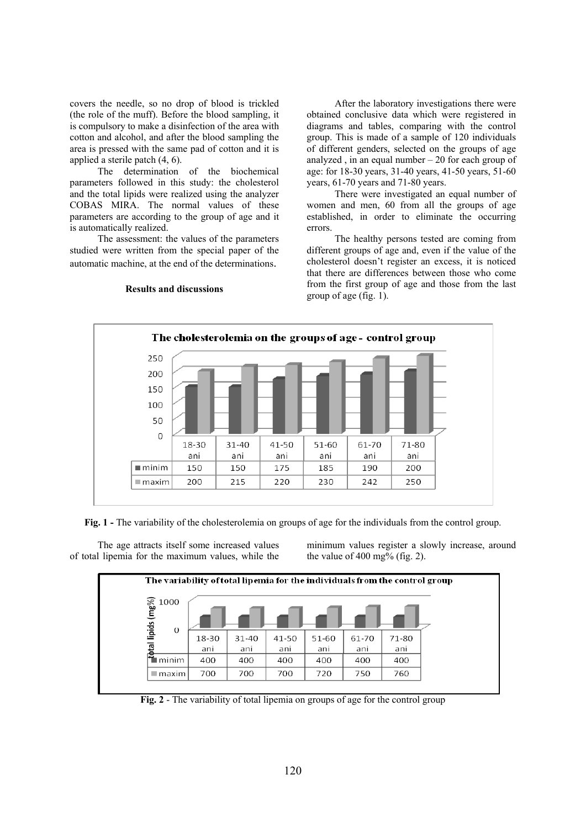covers the needle, so no drop of blood is trickled (the role of the muff). Before the blood sampling, it is compulsory to make a disinfection of the area with cotton and alcohol, and after the blood sampling the area is pressed with the same pad of cotton and it is applied a sterile patch (4, 6).

The determination of the biochemical parameters followed in this study: the cholesterol and the total lipids were realized using the analyzer COBAS MIRA. The normal values of these parameters are according to the group of age and it is automatically realized.

The assessment: the values of the parameters studied were written from the special paper of the automatic machine, at the end of the determinations.

**Results and discussions** 

After the laboratory investigations there were obtained conclusive data which were registered in diagrams and tables, comparing with the control group. This is made of a sample of 120 individuals of different genders, selected on the groups of age analyzed , in an equal number  $-20$  for each group of age: for 18-30 years, 31-40 years, 41-50 years, 51-60 years, 61-70 years and 71-80 years.

There were investigated an equal number of women and men, 60 from all the groups of age established, in order to eliminate the occurring errors.

The healthy persons tested are coming from different groups of age and, even if the value of the cholesterol doesn't register an excess, it is noticed that there are differences between those who come from the first group of age and those from the last group of age (fig. 1).



**Fig. 1** - The variability of the cholesterolemia on groups of age for the individuals from the control group.

The age attracts itself some increased values of total lipemia for the maximum values, while the minimum values register a slowly increase, around the value of  $400 \text{ mg}$ % (fig. 2).



**Fig. 2** - The variability of total lipemia on groups of age for the control group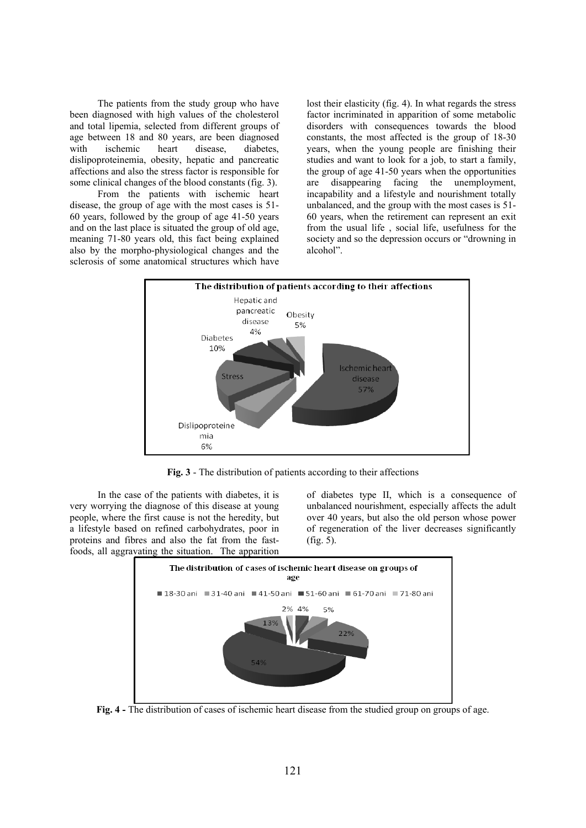The patients from the study group who have been diagnosed with high values of the cholesterol and total lipemia, selected from different groups of age between 18 and 80 years, are been diagnosed with ischemic heart disease, diabetes, dislipoproteinemia, obesity, hepatic and pancreatic affections and also the stress factor is responsible for some clinical changes of the blood constants (fig. 3).

From the patients with ischemic heart disease, the group of age with the most cases is 51- 60 years, followed by the group of age 41-50 years and on the last place is situated the group of old age, meaning 71-80 years old, this fact being explained also by the morpho-physiological changes and the sclerosis of some anatomical structures which have lost their elasticity (fig. 4). In what regards the stress factor incriminated in apparition of some metabolic disorders with consequences towards the blood constants, the most affected is the group of 18-30 years, when the young people are finishing their studies and want to look for a job, to start a family, the group of age 41-50 years when the opportunities are disappearing facing the unemployment, incapability and a lifestyle and nourishment totally unbalanced, and the group with the most cases is 51- 60 years, when the retirement can represent an exit from the usual life , social life, usefulness for the society and so the depression occurs or "drowning in alcohol".



**Fig. 3** - The distribution of patients according to their affections

In the case of the patients with diabetes, it is very worrying the diagnose of this disease at young people, where the first cause is not the heredity, but a lifestyle based on refined carbohydrates, poor in proteins and fibres and also the fat from the fastfoods, all aggravating the situation. The apparition

of diabetes type II, which is a consequence of unbalanced nourishment, especially affects the adult over 40 years, but also the old person whose power of regeneration of the liver decreases significantly (fig. 5).



**Fig. 4 -** The distribution of cases of ischemic heart disease from the studied group on groups of age.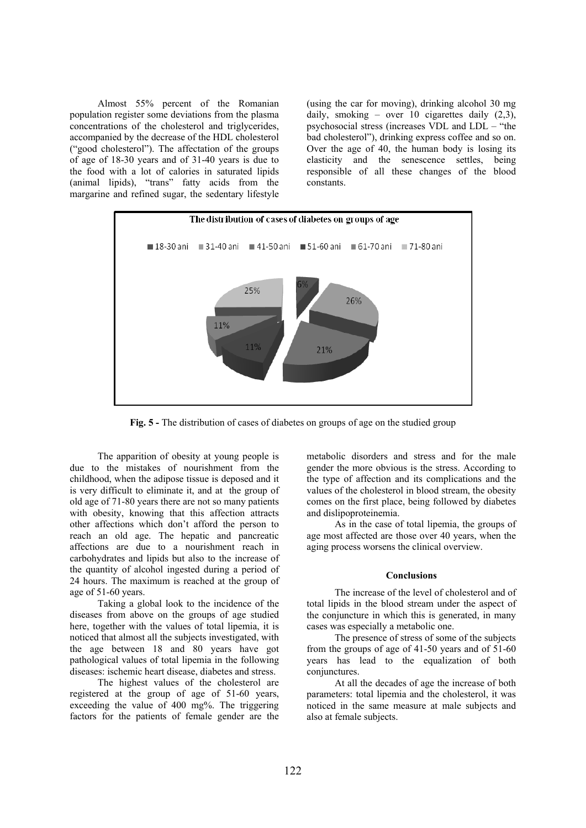Almost 55% percent of the Romanian population register some deviations from the plasma concentrations of the cholesterol and triglycerides, accompanied by the decrease of the HDL cholesterol ("good cholesterol"). The affectation of the groups of age of 18-30 years and of 31-40 years is due to the food with a lot of calories in saturated lipids (animal lipids), "trans" fatty acids from the margarine and refined sugar, the sedentary lifestyle (using the car for moving), drinking alcohol 30 mg daily, smoking – over 10 cigarettes daily  $(2,3)$ , psychosocial stress (increases VDL and LDL – "the bad cholesterol"), drinking express coffee and so on. Over the age of 40, the human body is losing its elasticity and the senescence settles, being responsible of all these changes of the blood constants.



**Fig. 5 -** The distribution of cases of diabetes on groups of age on the studied group

The apparition of obesity at young people is due to the mistakes of nourishment from the childhood, when the adipose tissue is deposed and it is very difficult to eliminate it, and at the group of old age of 71-80 years there are not so many patients with obesity, knowing that this affection attracts other affections which don't afford the person to reach an old age. The hepatic and pancreatic affections are due to a nourishment reach in carbohydrates and lipids but also to the increase of the quantity of alcohol ingested during a period of 24 hours. The maximum is reached at the group of age of 51-60 years.

Taking a global look to the incidence of the diseases from above on the groups of age studied here, together with the values of total lipemia, it is noticed that almost all the subjects investigated, with the age between 18 and 80 years have got pathological values of total lipemia in the following diseases: ischemic heart disease, diabetes and stress.

The highest values of the cholesterol are registered at the group of age of 51-60 years, exceeding the value of 400 mg%. The triggering factors for the patients of female gender are the metabolic disorders and stress and for the male gender the more obvious is the stress. According to the type of affection and its complications and the values of the cholesterol in blood stream, the obesity comes on the first place, being followed by diabetes and dislipoproteinemia.

As in the case of total lipemia, the groups of age most affected are those over 40 years, when the aging process worsens the clinical overview.

## **Conclusions**

The increase of the level of cholesterol and of total lipids in the blood stream under the aspect of the conjuncture in which this is generated, in many cases was especially a metabolic one.

The presence of stress of some of the subjects from the groups of age of 41-50 years and of 51-60 years has lead to the equalization of both conjunctures.

At all the decades of age the increase of both parameters: total lipemia and the cholesterol, it was noticed in the same measure at male subjects and also at female subjects.